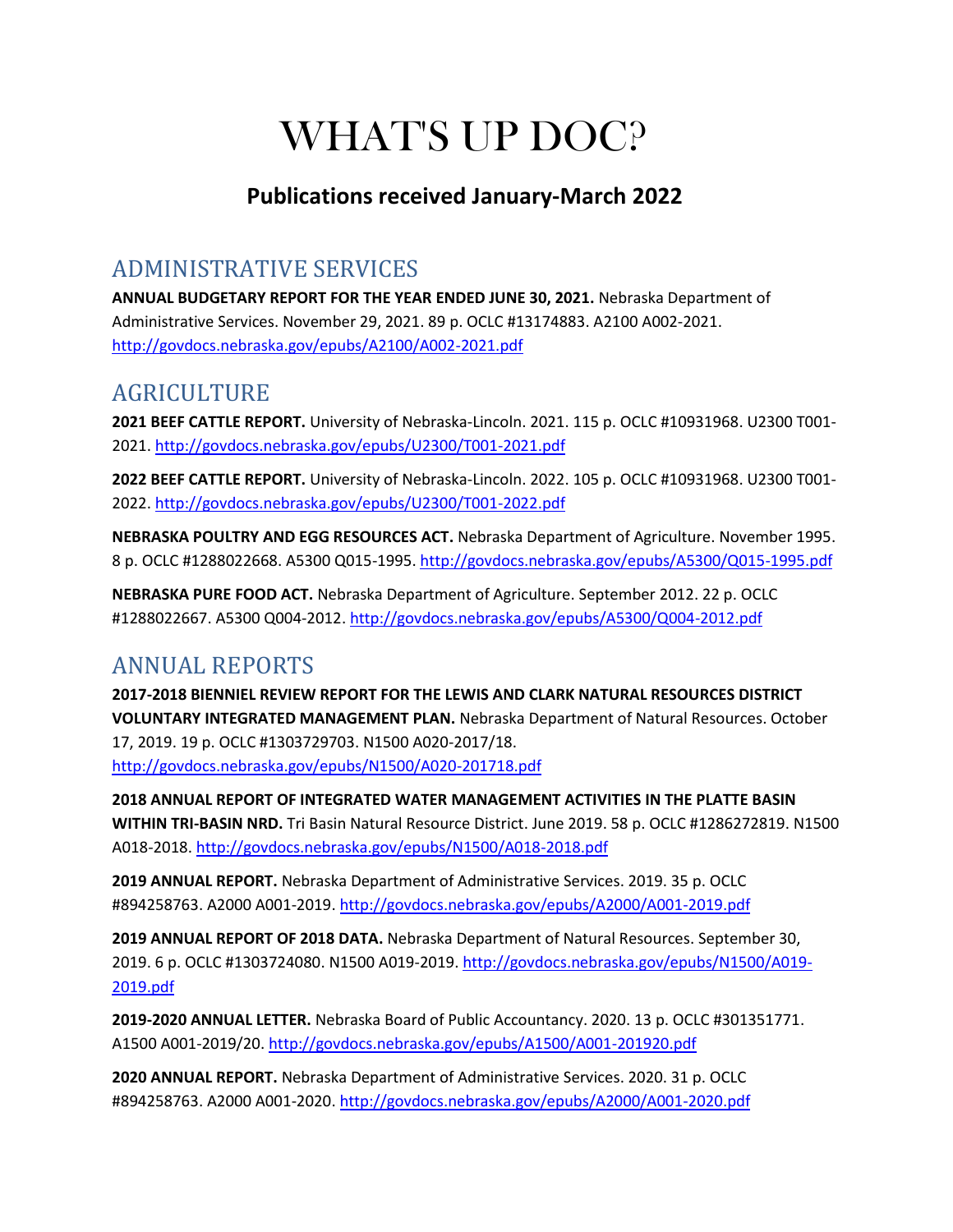# WHAT'S UP DOC?

#### **Publications received January-March 2022**

## ADMINISTRATIVE SERVICES

**ANNUAL BUDGETARY REPORT FOR THE YEAR ENDED JUNE 30, 2021.** Nebraska Department of Administrative Services. November 29, 2021. 89 p. OCLC #13174883. A2100 A002-2021. <http://govdocs.nebraska.gov/epubs/A2100/A002-2021.pdf>

### AGRICULTURE

**2021 BEEF CATTLE REPORT.** University of Nebraska-Lincoln. 2021. 115 p. OCLC #10931968. U2300 T001- 2021[. http://govdocs.nebraska.gov/epubs/U2300/T001-2021.pdf](http://govdocs.nebraska.gov/epubs/U2300/T001-2021.pdf)

**2022 BEEF CATTLE REPORT.** University of Nebraska-Lincoln. 2022. 105 p. OCLC #10931968. U2300 T001- 2022[. http://govdocs.nebraska.gov/epubs/U2300/T001-2022.pdf](http://govdocs.nebraska.gov/epubs/U2300/T001-2022.pdf)

**NEBRASKA POULTRY AND EGG RESOURCES ACT.** Nebraska Department of Agriculture. November 1995. 8 p. OCLC #1288022668. A5300 Q015-1995.<http://govdocs.nebraska.gov/epubs/A5300/Q015-1995.pdf>

**NEBRASKA PURE FOOD ACT.** Nebraska Department of Agriculture. September 2012. 22 p. OCLC #1288022667. A5300 Q004-2012[. http://govdocs.nebraska.gov/epubs/A5300/Q004-2012.pdf](http://govdocs.nebraska.gov/epubs/A5300/Q004-2012.pdf)

## ANNUAL REPORTS

**2017-2018 BIENNIEL REVIEW REPORT FOR THE LEWIS AND CLARK NATURAL RESOURCES DISTRICT VOLUNTARY INTEGRATED MANAGEMENT PLAN.** Nebraska Department of Natural Resources. October 17, 2019. 19 p. OCLC #1303729703. N1500 A020-2017/18. <http://govdocs.nebraska.gov/epubs/N1500/A020-201718.pdf>

**2018 ANNUAL REPORT OF INTEGRATED WATER MANAGEMENT ACTIVITIES IN THE PLATTE BASIN WITHIN TRI-BASIN NRD.** Tri Basin Natural Resource District. June 2019. 58 p. OCLC #1286272819. N1500 A018-2018.<http://govdocs.nebraska.gov/epubs/N1500/A018-2018.pdf>

**2019 ANNUAL REPORT.** Nebraska Department of Administrative Services. 2019. 35 p. OCLC #894258763. A2000 A001-2019.<http://govdocs.nebraska.gov/epubs/A2000/A001-2019.pdf>

**2019 ANNUAL REPORT OF 2018 DATA.** Nebraska Department of Natural Resources. September 30, 2019. 6 p. OCLC #1303724080. N1500 A019-2019. [http://govdocs.nebraska.gov/epubs/N1500/A019-](http://govdocs.nebraska.gov/epubs/N1500/A019-2019.pdf) [2019.pdf](http://govdocs.nebraska.gov/epubs/N1500/A019-2019.pdf)

**2019-2020 ANNUAL LETTER.** Nebraska Board of Public Accountancy. 2020. 13 p. OCLC #301351771. A1500 A001-2019/20[. http://govdocs.nebraska.gov/epubs/A1500/A001-201920.pdf](http://govdocs.nebraska.gov/epubs/A1500/A001-201920.pdf)

**2020 ANNUAL REPORT.** Nebraska Department of Administrative Services. 2020. 31 p. OCLC #894258763. A2000 A001-2020.<http://govdocs.nebraska.gov/epubs/A2000/A001-2020.pdf>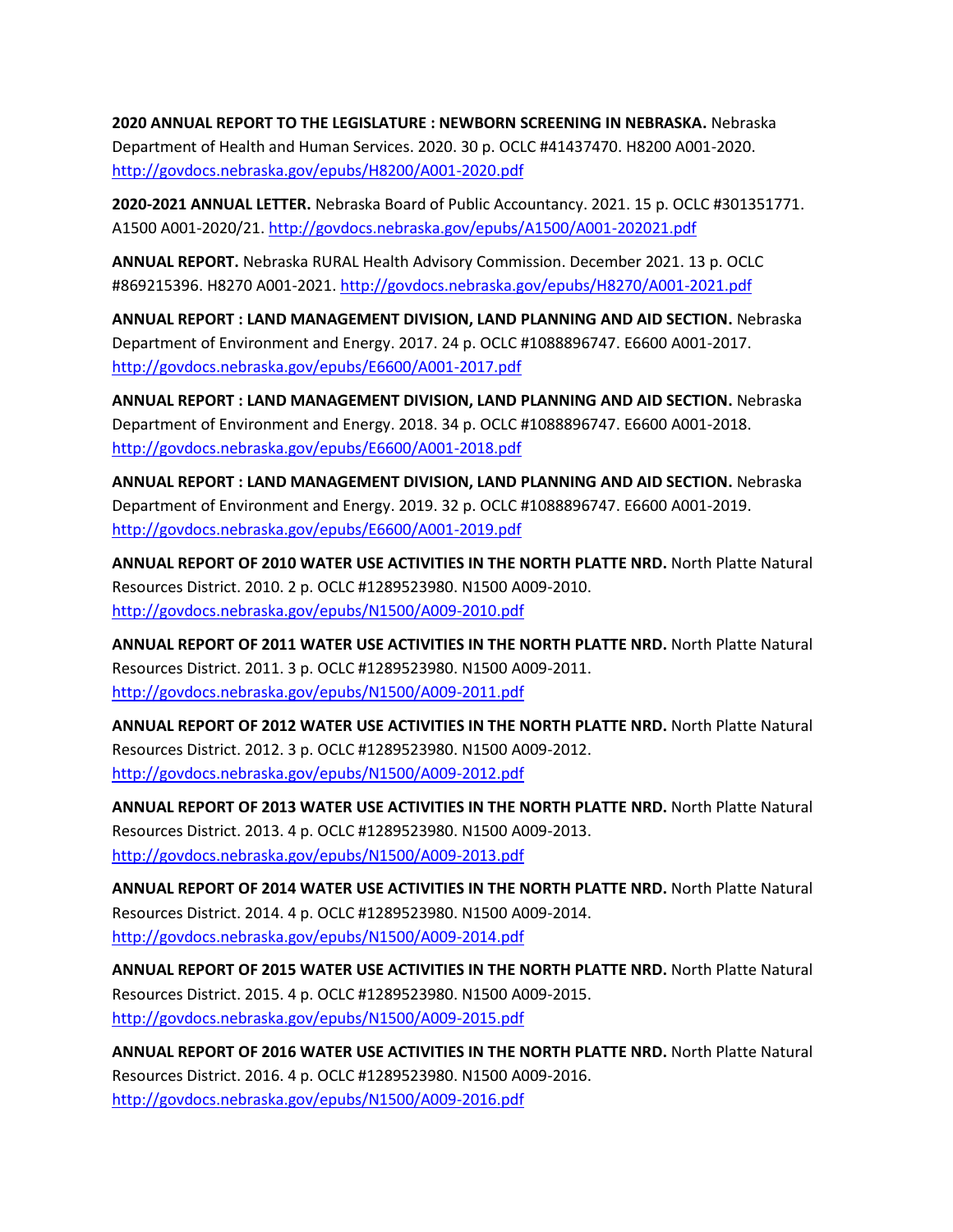**2020 ANNUAL REPORT TO THE LEGISLATURE : NEWBORN SCREENING IN NEBRASKA.** Nebraska Department of Health and Human Services. 2020. 30 p. OCLC #41437470. H8200 A001-2020. <http://govdocs.nebraska.gov/epubs/H8200/A001-2020.pdf>

**2020-2021 ANNUAL LETTER.** Nebraska Board of Public Accountancy. 2021. 15 p. OCLC #301351771. A1500 A001-2020/21[. http://govdocs.nebraska.gov/epubs/A1500/A001-202021.pdf](http://govdocs.nebraska.gov/epubs/A1500/A001-202021.pdf)

**ANNUAL REPORT.** Nebraska RURAL Health Advisory Commission. December 2021. 13 p. OCLC #869215396. H8270 A001-2021[. http://govdocs.nebraska.gov/epubs/H8270/A001-2021.pdf](http://govdocs.nebraska.gov/epubs/H8270/A001-2021.pdf)

**ANNUAL REPORT : LAND MANAGEMENT DIVISION, LAND PLANNING AND AID SECTION.** Nebraska Department of Environment and Energy. 2017. 24 p. OCLC #1088896747. E6600 A001-2017. <http://govdocs.nebraska.gov/epubs/E6600/A001-2017.pdf>

**ANNUAL REPORT : LAND MANAGEMENT DIVISION, LAND PLANNING AND AID SECTION.** Nebraska Department of Environment and Energy. 2018. 34 p. OCLC #1088896747. E6600 A001-2018. <http://govdocs.nebraska.gov/epubs/E6600/A001-2018.pdf>

**ANNUAL REPORT : LAND MANAGEMENT DIVISION, LAND PLANNING AND AID SECTION.** Nebraska Department of Environment and Energy. 2019. 32 p. OCLC #1088896747. E6600 A001-2019. <http://govdocs.nebraska.gov/epubs/E6600/A001-2019.pdf>

**ANNUAL REPORT OF 2010 WATER USE ACTIVITIES IN THE NORTH PLATTE NRD.** North Platte Natural Resources District. 2010. 2 p. OCLC #1289523980. N1500 A009-2010. <http://govdocs.nebraska.gov/epubs/N1500/A009-2010.pdf>

**ANNUAL REPORT OF 2011 WATER USE ACTIVITIES IN THE NORTH PLATTE NRD.** North Platte Natural Resources District. 2011. 3 p. OCLC #1289523980. N1500 A009-2011. <http://govdocs.nebraska.gov/epubs/N1500/A009-2011.pdf>

**ANNUAL REPORT OF 2012 WATER USE ACTIVITIES IN THE NORTH PLATTE NRD.** North Platte Natural Resources District. 2012. 3 p. OCLC #1289523980. N1500 A009-2012. <http://govdocs.nebraska.gov/epubs/N1500/A009-2012.pdf>

**ANNUAL REPORT OF 2013 WATER USE ACTIVITIES IN THE NORTH PLATTE NRD.** North Platte Natural Resources District. 2013. 4 p. OCLC #1289523980. N1500 A009-2013. <http://govdocs.nebraska.gov/epubs/N1500/A009-2013.pdf>

**ANNUAL REPORT OF 2014 WATER USE ACTIVITIES IN THE NORTH PLATTE NRD.** North Platte Natural Resources District. 2014. 4 p. OCLC #1289523980. N1500 A009-2014. <http://govdocs.nebraska.gov/epubs/N1500/A009-2014.pdf>

**ANNUAL REPORT OF 2015 WATER USE ACTIVITIES IN THE NORTH PLATTE NRD.** North Platte Natural Resources District. 2015. 4 p. OCLC #1289523980. N1500 A009-2015. <http://govdocs.nebraska.gov/epubs/N1500/A009-2015.pdf>

**ANNUAL REPORT OF 2016 WATER USE ACTIVITIES IN THE NORTH PLATTE NRD.** North Platte Natural Resources District. 2016. 4 p. OCLC #1289523980. N1500 A009-2016. <http://govdocs.nebraska.gov/epubs/N1500/A009-2016.pdf>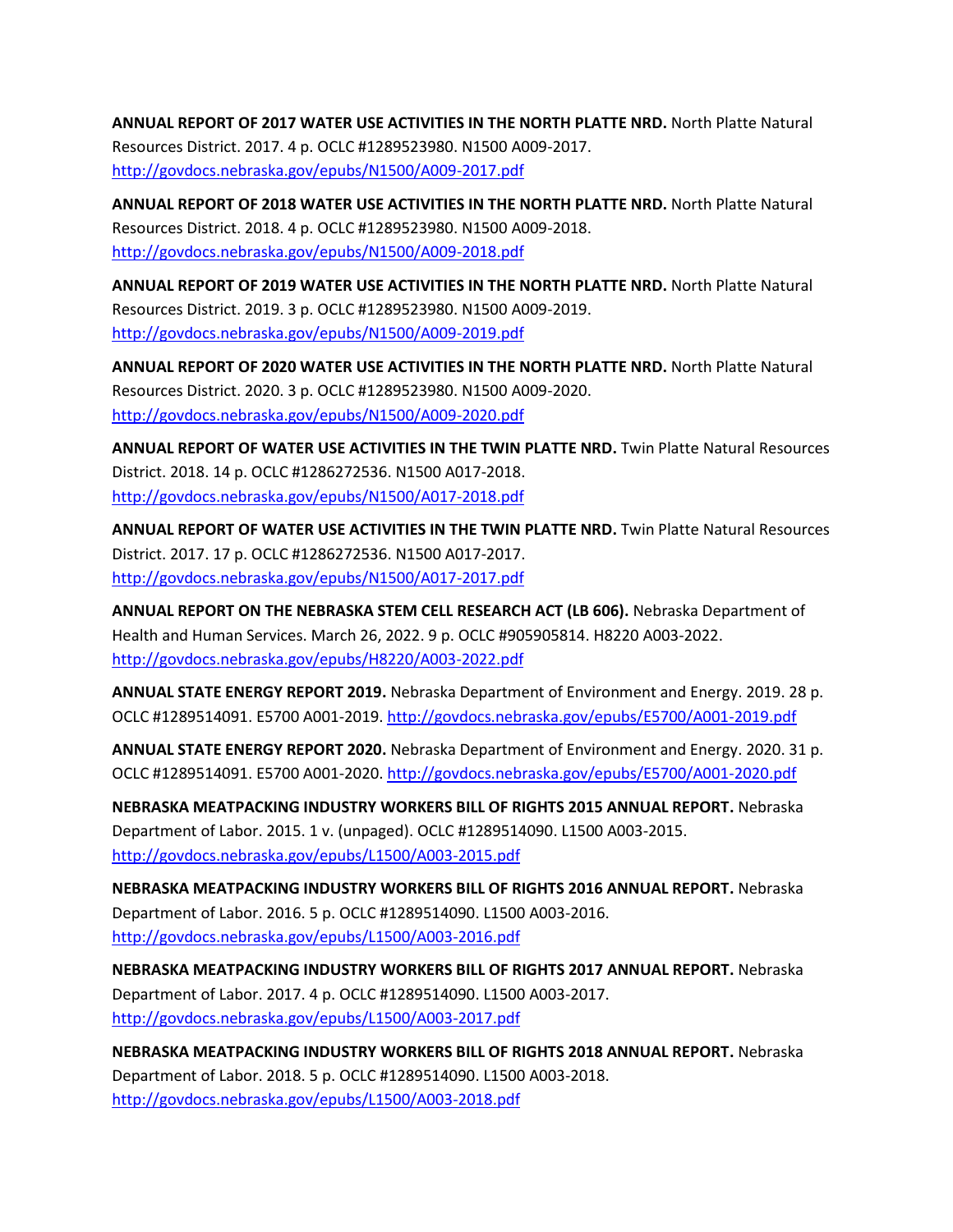**ANNUAL REPORT OF 2017 WATER USE ACTIVITIES IN THE NORTH PLATTE NRD.** North Platte Natural Resources District. 2017. 4 p. OCLC #1289523980. N1500 A009-2017. <http://govdocs.nebraska.gov/epubs/N1500/A009-2017.pdf>

**ANNUAL REPORT OF 2018 WATER USE ACTIVITIES IN THE NORTH PLATTE NRD.** North Platte Natural Resources District. 2018. 4 p. OCLC #1289523980. N1500 A009-2018. <http://govdocs.nebraska.gov/epubs/N1500/A009-2018.pdf>

**ANNUAL REPORT OF 2019 WATER USE ACTIVITIES IN THE NORTH PLATTE NRD.** North Platte Natural Resources District. 2019. 3 p. OCLC #1289523980. N1500 A009-2019. <http://govdocs.nebraska.gov/epubs/N1500/A009-2019.pdf>

**ANNUAL REPORT OF 2020 WATER USE ACTIVITIES IN THE NORTH PLATTE NRD.** North Platte Natural Resources District. 2020. 3 p. OCLC #1289523980. N1500 A009-2020. <http://govdocs.nebraska.gov/epubs/N1500/A009-2020.pdf>

**ANNUAL REPORT OF WATER USE ACTIVITIES IN THE TWIN PLATTE NRD.** Twin Platte Natural Resources District. 2018. 14 p. OCLC #1286272536. N1500 A017-2018. <http://govdocs.nebraska.gov/epubs/N1500/A017-2018.pdf>

**ANNUAL REPORT OF WATER USE ACTIVITIES IN THE TWIN PLATTE NRD.** Twin Platte Natural Resources District. 2017. 17 p. OCLC #1286272536. N1500 A017-2017. <http://govdocs.nebraska.gov/epubs/N1500/A017-2017.pdf>

**ANNUAL REPORT ON THE NEBRASKA STEM CELL RESEARCH ACT (LB 606).** Nebraska Department of Health and Human Services. March 26, 2022. 9 p. OCLC #905905814. H8220 A003-2022. <http://govdocs.nebraska.gov/epubs/H8220/A003-2022.pdf>

**ANNUAL STATE ENERGY REPORT 2019.** Nebraska Department of Environment and Energy. 2019. 28 p. OCLC #1289514091. E5700 A001-2019.<http://govdocs.nebraska.gov/epubs/E5700/A001-2019.pdf>

**ANNUAL STATE ENERGY REPORT 2020.** Nebraska Department of Environment and Energy. 2020. 31 p. OCLC #1289514091. E5700 A001-2020.<http://govdocs.nebraska.gov/epubs/E5700/A001-2020.pdf>

**NEBRASKA MEATPACKING INDUSTRY WORKERS BILL OF RIGHTS 2015 ANNUAL REPORT.** Nebraska Department of Labor. 2015. 1 v. (unpaged). OCLC #1289514090. L1500 A003-2015. <http://govdocs.nebraska.gov/epubs/L1500/A003-2015.pdf>

**NEBRASKA MEATPACKING INDUSTRY WORKERS BILL OF RIGHTS 2016 ANNUAL REPORT.** Nebraska Department of Labor. 2016. 5 p. OCLC #1289514090. L1500 A003-2016. <http://govdocs.nebraska.gov/epubs/L1500/A003-2016.pdf>

**NEBRASKA MEATPACKING INDUSTRY WORKERS BILL OF RIGHTS 2017 ANNUAL REPORT.** Nebraska Department of Labor. 2017. 4 p. OCLC #1289514090. L1500 A003-2017. <http://govdocs.nebraska.gov/epubs/L1500/A003-2017.pdf>

**NEBRASKA MEATPACKING INDUSTRY WORKERS BILL OF RIGHTS 2018 ANNUAL REPORT.** Nebraska Department of Labor. 2018. 5 p. OCLC #1289514090. L1500 A003-2018. <http://govdocs.nebraska.gov/epubs/L1500/A003-2018.pdf>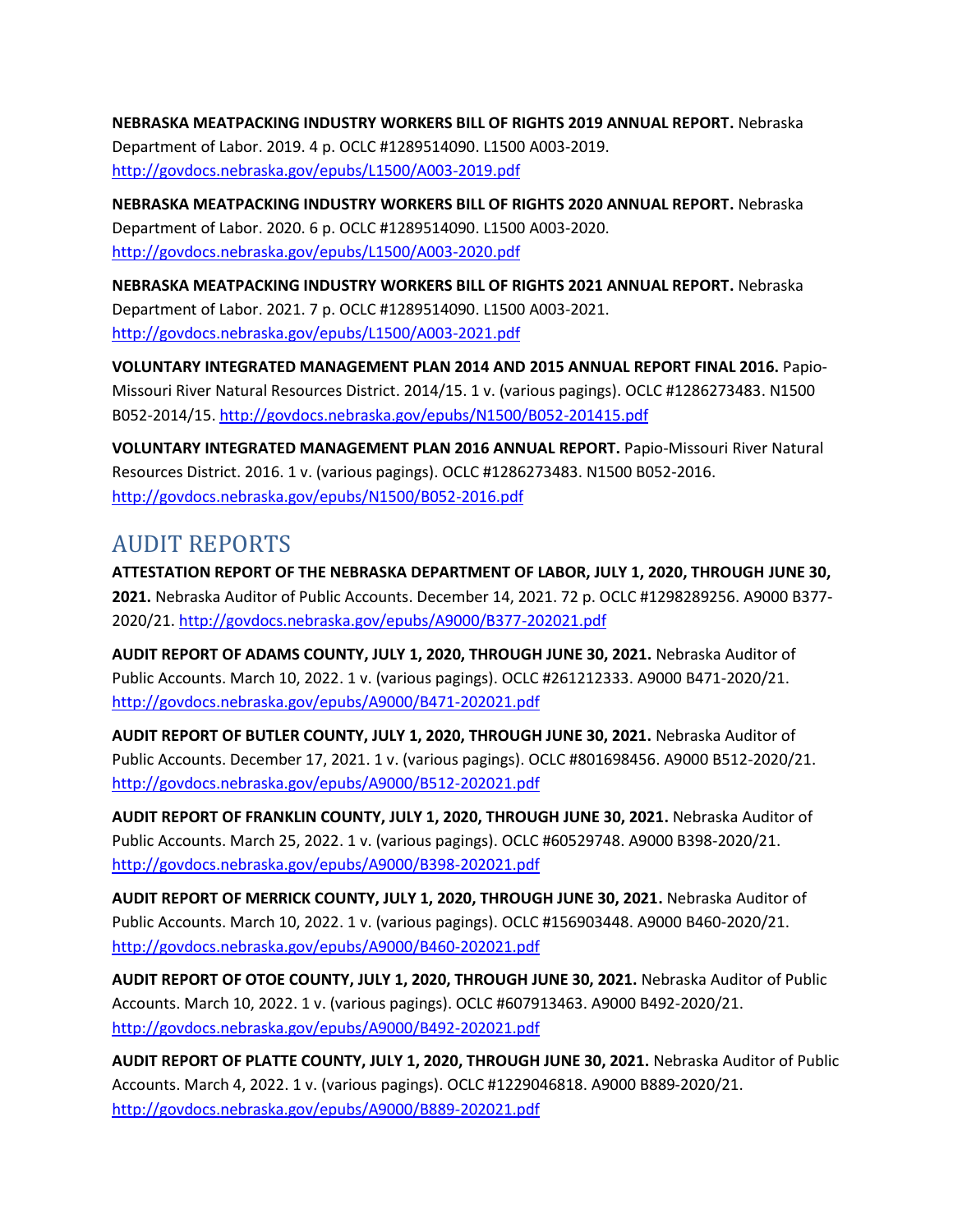**NEBRASKA MEATPACKING INDUSTRY WORKERS BILL OF RIGHTS 2019 ANNUAL REPORT.** Nebraska Department of Labor. 2019. 4 p. OCLC #1289514090. L1500 A003-2019. <http://govdocs.nebraska.gov/epubs/L1500/A003-2019.pdf>

**NEBRASKA MEATPACKING INDUSTRY WORKERS BILL OF RIGHTS 2020 ANNUAL REPORT.** Nebraska Department of Labor. 2020. 6 p. OCLC #1289514090. L1500 A003-2020. <http://govdocs.nebraska.gov/epubs/L1500/A003-2020.pdf>

**NEBRASKA MEATPACKING INDUSTRY WORKERS BILL OF RIGHTS 2021 ANNUAL REPORT.** Nebraska Department of Labor. 2021. 7 p. OCLC #1289514090. L1500 A003-2021. <http://govdocs.nebraska.gov/epubs/L1500/A003-2021.pdf>

**VOLUNTARY INTEGRATED MANAGEMENT PLAN 2014 AND 2015 ANNUAL REPORT FINAL 2016.** Papio-Missouri River Natural Resources District. 2014/15. 1 v. (various pagings). OCLC #1286273483. N1500 B052-2014/15.<http://govdocs.nebraska.gov/epubs/N1500/B052-201415.pdf>

**VOLUNTARY INTEGRATED MANAGEMENT PLAN 2016 ANNUAL REPORT.** Papio-Missouri River Natural Resources District. 2016. 1 v. (various pagings). OCLC #1286273483. N1500 B052-2016. <http://govdocs.nebraska.gov/epubs/N1500/B052-2016.pdf>

### AUDIT REPORTS

**ATTESTATION REPORT OF THE NEBRASKA DEPARTMENT OF LABOR, JULY 1, 2020, THROUGH JUNE 30, 2021.** Nebraska Auditor of Public Accounts. December 14, 2021. 72 p. OCLC #1298289256. A9000 B377- 2020/21.<http://govdocs.nebraska.gov/epubs/A9000/B377-202021.pdf>

**AUDIT REPORT OF ADAMS COUNTY, JULY 1, 2020, THROUGH JUNE 30, 2021.** Nebraska Auditor of Public Accounts. March 10, 2022. 1 v. (various pagings). OCLC #261212333. A9000 B471-2020/21. <http://govdocs.nebraska.gov/epubs/A9000/B471-202021.pdf>

**AUDIT REPORT OF BUTLER COUNTY, JULY 1, 2020, THROUGH JUNE 30, 2021.** Nebraska Auditor of Public Accounts. December 17, 2021. 1 v. (various pagings). OCLC #801698456. A9000 B512-2020/21. <http://govdocs.nebraska.gov/epubs/A9000/B512-202021.pdf>

**AUDIT REPORT OF FRANKLIN COUNTY, JULY 1, 2020, THROUGH JUNE 30, 2021.** Nebraska Auditor of Public Accounts. March 25, 2022. 1 v. (various pagings). OCLC #60529748. A9000 B398-2020/21. <http://govdocs.nebraska.gov/epubs/A9000/B398-202021.pdf>

**AUDIT REPORT OF MERRICK COUNTY, JULY 1, 2020, THROUGH JUNE 30, 2021.** Nebraska Auditor of Public Accounts. March 10, 2022. 1 v. (various pagings). OCLC #156903448. A9000 B460-2020/21. <http://govdocs.nebraska.gov/epubs/A9000/B460-202021.pdf>

**AUDIT REPORT OF OTOE COUNTY, JULY 1, 2020, THROUGH JUNE 30, 2021.** Nebraska Auditor of Public Accounts. March 10, 2022. 1 v. (various pagings). OCLC #607913463. A9000 B492-2020/21. <http://govdocs.nebraska.gov/epubs/A9000/B492-202021.pdf>

**AUDIT REPORT OF PLATTE COUNTY, JULY 1, 2020, THROUGH JUNE 30, 2021.** Nebraska Auditor of Public Accounts. March 4, 2022. 1 v. (various pagings). OCLC #1229046818. A9000 B889-2020/21. <http://govdocs.nebraska.gov/epubs/A9000/B889-202021.pdf>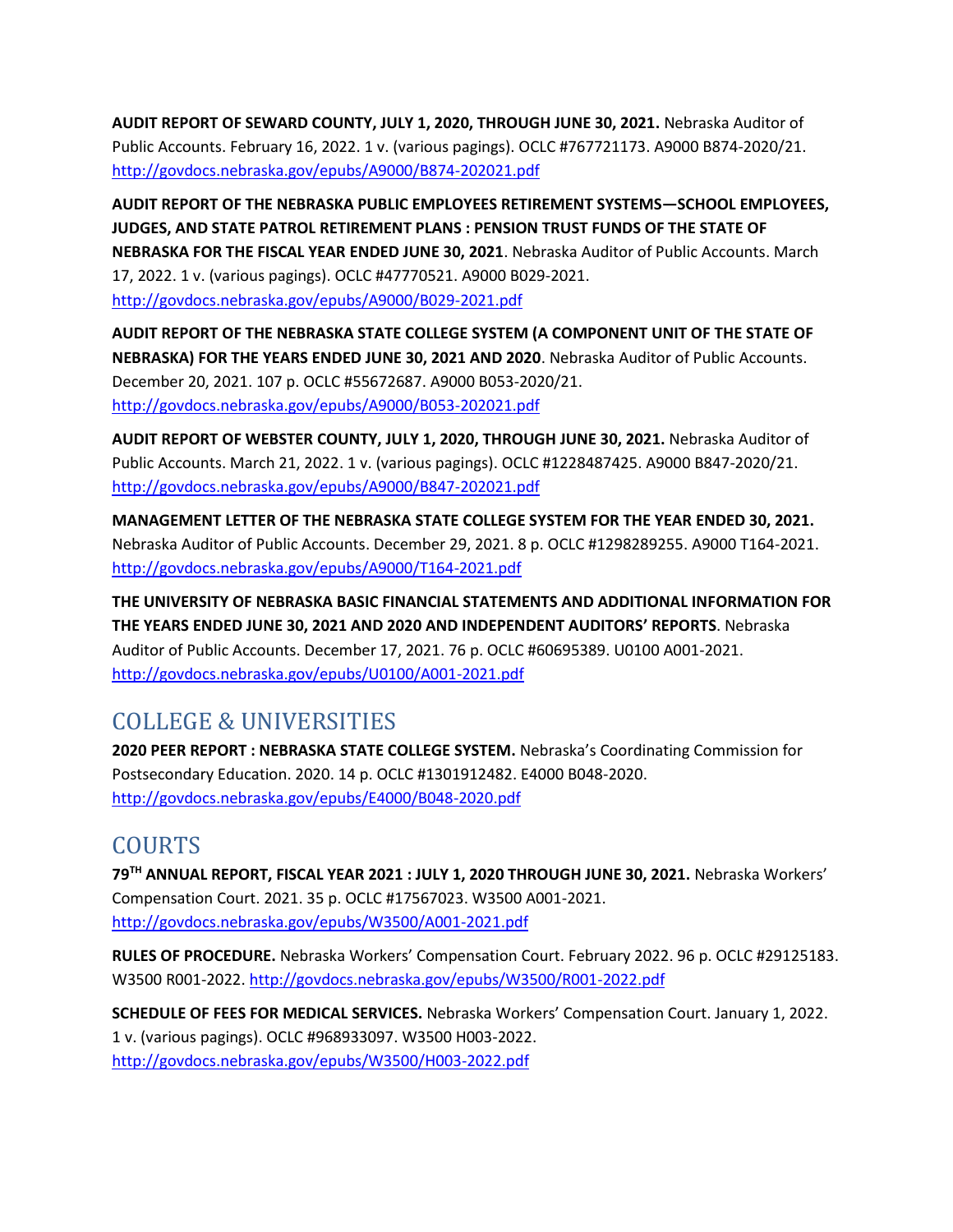**AUDIT REPORT OF SEWARD COUNTY, JULY 1, 2020, THROUGH JUNE 30, 2021.** Nebraska Auditor of Public Accounts. February 16, 2022. 1 v. (various pagings). OCLC #767721173. A9000 B874-2020/21. <http://govdocs.nebraska.gov/epubs/A9000/B874-202021.pdf>

**AUDIT REPORT OF THE NEBRASKA PUBLIC EMPLOYEES RETIREMENT SYSTEMS—SCHOOL EMPLOYEES, JUDGES, AND STATE PATROL RETIREMENT PLANS : PENSION TRUST FUNDS OF THE STATE OF NEBRASKA FOR THE FISCAL YEAR ENDED JUNE 30, 2021**. Nebraska Auditor of Public Accounts. March 17, 2022. 1 v. (various pagings). OCLC #47770521. A9000 B029-2021. <http://govdocs.nebraska.gov/epubs/A9000/B029-2021.pdf>

**AUDIT REPORT OF THE NEBRASKA STATE COLLEGE SYSTEM (A COMPONENT UNIT OF THE STATE OF NEBRASKA) FOR THE YEARS ENDED JUNE 30, 2021 AND 2020**. Nebraska Auditor of Public Accounts. December 20, 2021. 107 p. OCLC #55672687. A9000 B053-2020/21. <http://govdocs.nebraska.gov/epubs/A9000/B053-202021.pdf>

**AUDIT REPORT OF WEBSTER COUNTY, JULY 1, 2020, THROUGH JUNE 30, 2021.** Nebraska Auditor of Public Accounts. March 21, 2022. 1 v. (various pagings). OCLC #1228487425. A9000 B847-2020/21. <http://govdocs.nebraska.gov/epubs/A9000/B847-202021.pdf>

**MANAGEMENT LETTER OF THE NEBRASKA STATE COLLEGE SYSTEM FOR THE YEAR ENDED 30, 2021.**  Nebraska Auditor of Public Accounts. December 29, 2021. 8 p. OCLC #1298289255. A9000 T164-2021. <http://govdocs.nebraska.gov/epubs/A9000/T164-2021.pdf>

**THE UNIVERSITY OF NEBRASKA BASIC FINANCIAL STATEMENTS AND ADDITIONAL INFORMATION FOR THE YEARS ENDED JUNE 30, 2021 AND 2020 AND INDEPENDENT AUDITORS' REPORTS**. Nebraska Auditor of Public Accounts. December 17, 2021. 76 p. OCLC #60695389. U0100 A001-2021. <http://govdocs.nebraska.gov/epubs/U0100/A001-2021.pdf>

## COLLEGE & UNIVERSITIES

**2020 PEER REPORT : NEBRASKA STATE COLLEGE SYSTEM.** Nebraska's Coordinating Commission for Postsecondary Education. 2020. 14 p. OCLC #1301912482. E4000 B048-2020. <http://govdocs.nebraska.gov/epubs/E4000/B048-2020.pdf>

## COURTS

**79TH ANNUAL REPORT, FISCAL YEAR 2021 : JULY 1, 2020 THROUGH JUNE 30, 2021.** Nebraska Workers' Compensation Court. 2021. 35 p. OCLC #17567023. W3500 A001-2021. <http://govdocs.nebraska.gov/epubs/W3500/A001-2021.pdf>

**RULES OF PROCEDURE.** Nebraska Workers' Compensation Court. February 2022. 96 p. OCLC #29125183. W3500 R001-2022.<http://govdocs.nebraska.gov/epubs/W3500/R001-2022.pdf>

**SCHEDULE OF FEES FOR MEDICAL SERVICES.** Nebraska Workers' Compensation Court. January 1, 2022. 1 v. (various pagings). OCLC #968933097. W3500 H003-2022. <http://govdocs.nebraska.gov/epubs/W3500/H003-2022.pdf>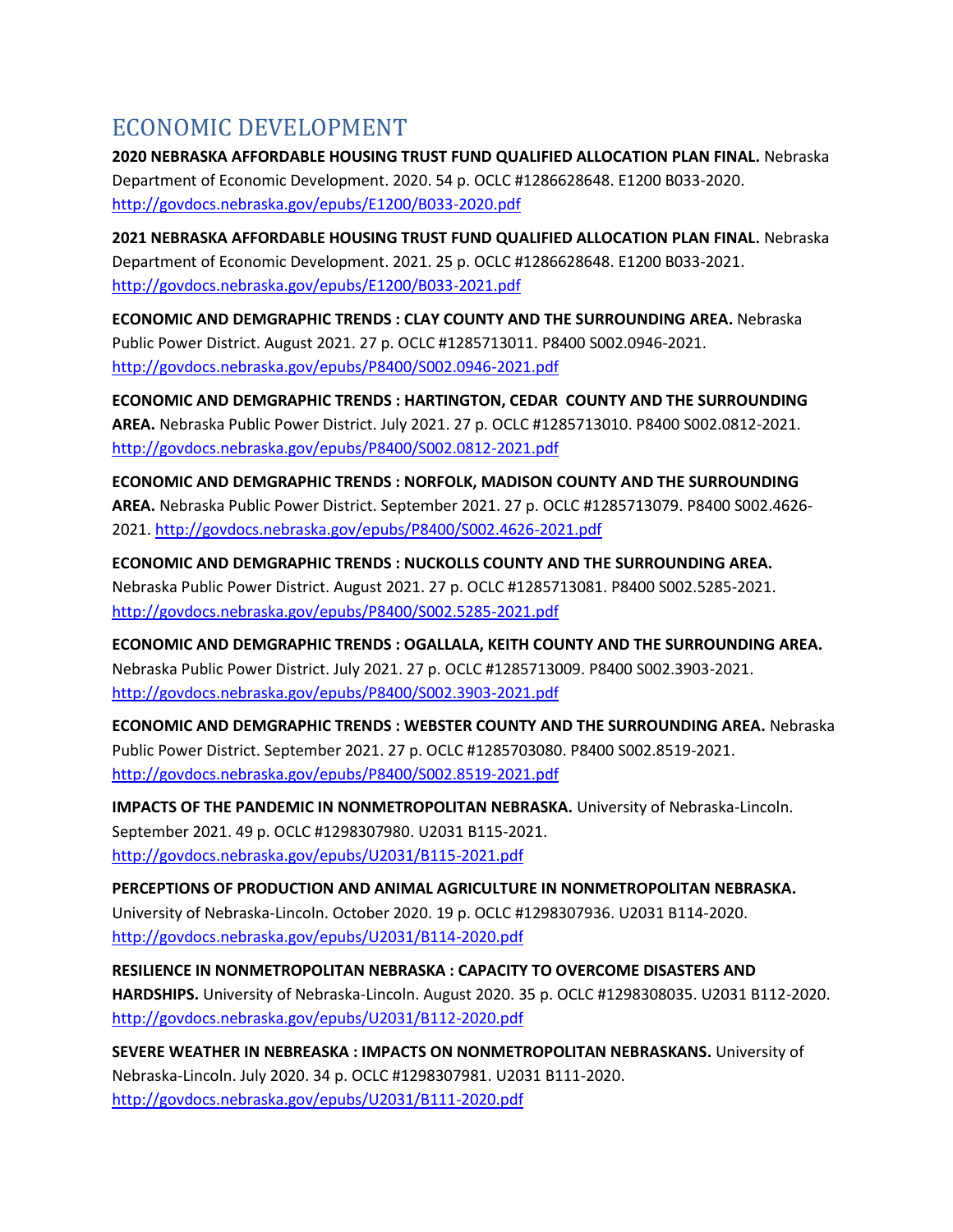## ECONOMIC DEVELOPMENT

**2020 NEBRASKA AFFORDABLE HOUSING TRUST FUND QUALIFIED ALLOCATION PLAN FINAL.** Nebraska Department of Economic Development. 2020. 54 p. OCLC #1286628648. E1200 B033-2020. <http://govdocs.nebraska.gov/epubs/E1200/B033-2020.pdf>

**2021 NEBRASKA AFFORDABLE HOUSING TRUST FUND QUALIFIED ALLOCATION PLAN FINAL.** Nebraska Department of Economic Development. 2021. 25 p. OCLC #1286628648. E1200 B033-2021. <http://govdocs.nebraska.gov/epubs/E1200/B033-2021.pdf>

**ECONOMIC AND DEMGRAPHIC TRENDS : CLAY COUNTY AND THE SURROUNDING AREA.** Nebraska Public Power District. August 2021. 27 p. OCLC #1285713011. P8400 S002.0946-2021. <http://govdocs.nebraska.gov/epubs/P8400/S002.0946-2021.pdf>

**ECONOMIC AND DEMGRAPHIC TRENDS : HARTINGTON, CEDAR COUNTY AND THE SURROUNDING AREA.** Nebraska Public Power District. July 2021. 27 p. OCLC #1285713010. P8400 S002.0812-2021. <http://govdocs.nebraska.gov/epubs/P8400/S002.0812-2021.pdf>

**ECONOMIC AND DEMGRAPHIC TRENDS : NORFOLK, MADISON COUNTY AND THE SURROUNDING AREA.** Nebraska Public Power District. September 2021. 27 p. OCLC #1285713079. P8400 S002.4626- 2021[. http://govdocs.nebraska.gov/epubs/P8400/S002.4626-2021.pdf](http://govdocs.nebraska.gov/epubs/P8400/S002.4626-2021.pdf)

**ECONOMIC AND DEMGRAPHIC TRENDS : NUCKOLLS COUNTY AND THE SURROUNDING AREA.**  Nebraska Public Power District. August 2021. 27 p. OCLC #1285713081. P8400 S002.5285-2021. <http://govdocs.nebraska.gov/epubs/P8400/S002.5285-2021.pdf>

**ECONOMIC AND DEMGRAPHIC TRENDS : OGALLALA, KEITH COUNTY AND THE SURROUNDING AREA.**  Nebraska Public Power District. July 2021. 27 p. OCLC #1285713009. P8400 S002.3903-2021. <http://govdocs.nebraska.gov/epubs/P8400/S002.3903-2021.pdf>

**ECONOMIC AND DEMGRAPHIC TRENDS : WEBSTER COUNTY AND THE SURROUNDING AREA.** Nebraska Public Power District. September 2021. 27 p. OCLC #1285703080. P8400 S002.8519-2021. <http://govdocs.nebraska.gov/epubs/P8400/S002.8519-2021.pdf>

**IMPACTS OF THE PANDEMIC IN NONMETROPOLITAN NEBRASKA.** University of Nebraska-Lincoln. September 2021. 49 p. OCLC #1298307980. U2031 B115-2021. <http://govdocs.nebraska.gov/epubs/U2031/B115-2021.pdf>

**PERCEPTIONS OF PRODUCTION AND ANIMAL AGRICULTURE IN NONMETROPOLITAN NEBRASKA.**  University of Nebraska-Lincoln. October 2020. 19 p. OCLC #1298307936. U2031 B114-2020. <http://govdocs.nebraska.gov/epubs/U2031/B114-2020.pdf>

**RESILIENCE IN NONMETROPOLITAN NEBRASKA : CAPACITY TO OVERCOME DISASTERS AND HARDSHIPS.** University of Nebraska-Lincoln. August 2020. 35 p. OCLC #1298308035. U2031 B112-2020. <http://govdocs.nebraska.gov/epubs/U2031/B112-2020.pdf>

**SEVERE WEATHER IN NEBREASKA : IMPACTS ON NONMETROPOLITAN NEBRASKANS.** University of Nebraska-Lincoln. July 2020. 34 p. OCLC #1298307981. U2031 B111-2020. <http://govdocs.nebraska.gov/epubs/U2031/B111-2020.pdf>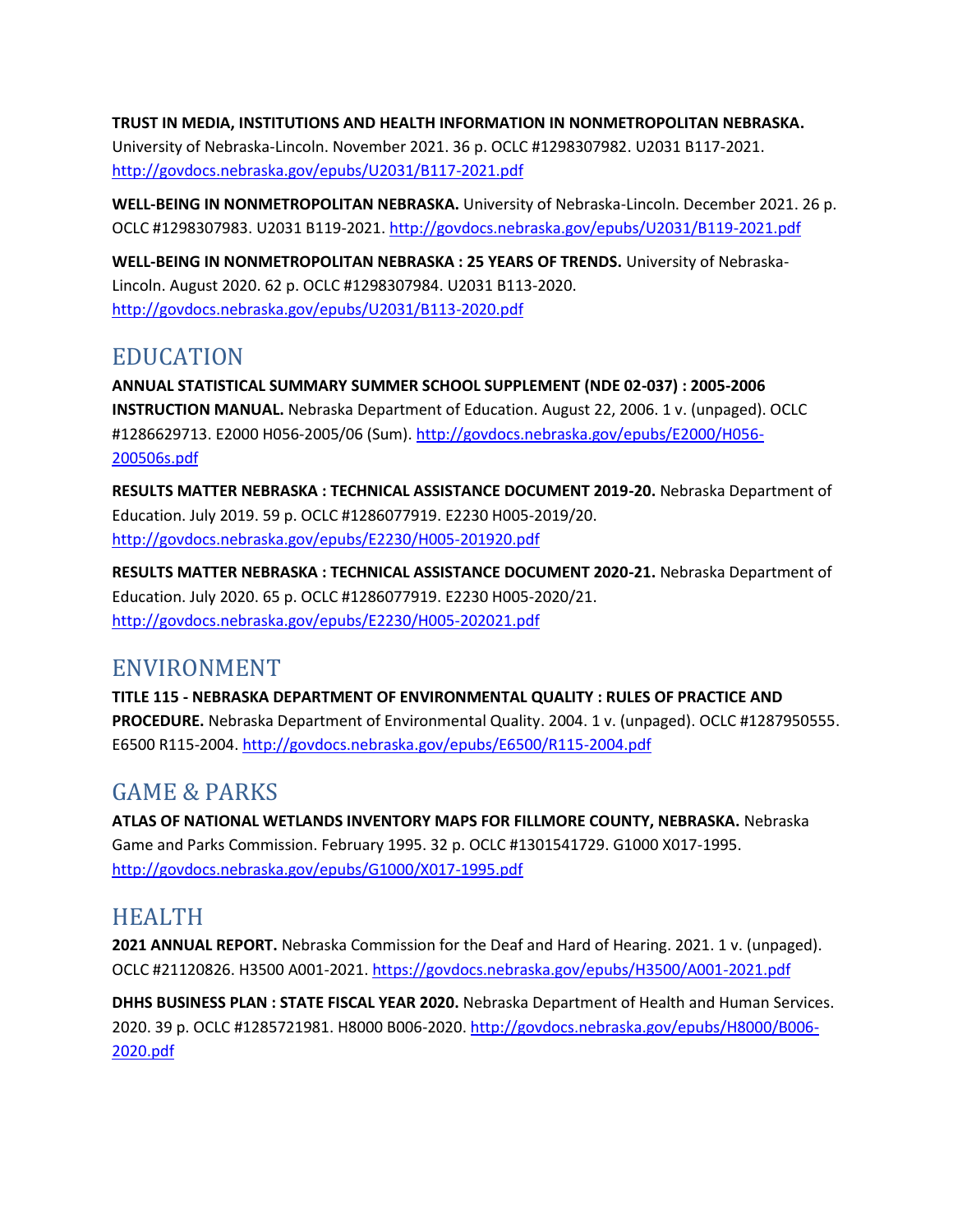**TRUST IN MEDIA, INSTITUTIONS AND HEALTH INFORMATION IN NONMETROPOLITAN NEBRASKA.**  University of Nebraska-Lincoln. November 2021. 36 p. OCLC #1298307982. U2031 B117-2021. <http://govdocs.nebraska.gov/epubs/U2031/B117-2021.pdf>

**WELL-BEING IN NONMETROPOLITAN NEBRASKA.** University of Nebraska-Lincoln. December 2021. 26 p. OCLC #1298307983. U2031 B119-2021.<http://govdocs.nebraska.gov/epubs/U2031/B119-2021.pdf>

**WELL-BEING IN NONMETROPOLITAN NEBRASKA : 25 YEARS OF TRENDS.** University of Nebraska-Lincoln. August 2020. 62 p. OCLC #1298307984. U2031 B113-2020. <http://govdocs.nebraska.gov/epubs/U2031/B113-2020.pdf>

### EDUCATION

**ANNUAL STATISTICAL SUMMARY SUMMER SCHOOL SUPPLEMENT (NDE 02-037) : 2005-2006 INSTRUCTION MANUAL.** Nebraska Department of Education. August 22, 2006. 1 v. (unpaged). OCLC #1286629713. E2000 H056-2005/06 (Sum)[. http://govdocs.nebraska.gov/epubs/E2000/H056-](http://govdocs.nebraska.gov/epubs/E2000/H056-200506s.pdf) [200506s.pdf](http://govdocs.nebraska.gov/epubs/E2000/H056-200506s.pdf)

**RESULTS MATTER NEBRASKA : TECHNICAL ASSISTANCE DOCUMENT 2019-20.** Nebraska Department of Education. July 2019. 59 p. OCLC #1286077919. E2230 H005-2019/20. <http://govdocs.nebraska.gov/epubs/E2230/H005-201920.pdf>

**RESULTS MATTER NEBRASKA : TECHNICAL ASSISTANCE DOCUMENT 2020-21.** Nebraska Department of Education. July 2020. 65 p. OCLC #1286077919. E2230 H005-2020/21. <http://govdocs.nebraska.gov/epubs/E2230/H005-202021.pdf>

#### ENVIRONMENT

**TITLE 115 - NEBRASKA DEPARTMENT OF ENVIRONMENTAL QUALITY : RULES OF PRACTICE AND PROCEDURE.** Nebraska Department of Environmental Quality. 2004. 1 v. (unpaged). OCLC #1287950555. E6500 R115-2004.<http://govdocs.nebraska.gov/epubs/E6500/R115-2004.pdf>

## GAME & PARKS

**ATLAS OF NATIONAL WETLANDS INVENTORY MAPS FOR FILLMORE COUNTY, NEBRASKA.** Nebraska Game and Parks Commission. February 1995. 32 p. OCLC #1301541729. G1000 X017-1995. <http://govdocs.nebraska.gov/epubs/G1000/X017-1995.pdf>

## **HEALTH**

**2021 ANNUAL REPORT.** Nebraska Commission for the Deaf and Hard of Hearing. 2021. 1 v. (unpaged). OCLC #21120826. H3500 A001-2021.<https://govdocs.nebraska.gov/epubs/H3500/A001-2021.pdf>

**DHHS BUSINESS PLAN : STATE FISCAL YEAR 2020.** Nebraska Department of Health and Human Services. 2020. 39 p. OCLC #1285721981. H8000 B006-2020. [http://govdocs.nebraska.gov/epubs/H8000/B006-](http://govdocs.nebraska.gov/epubs/H8000/B006-2020.pdf) [2020.pdf](http://govdocs.nebraska.gov/epubs/H8000/B006-2020.pdf)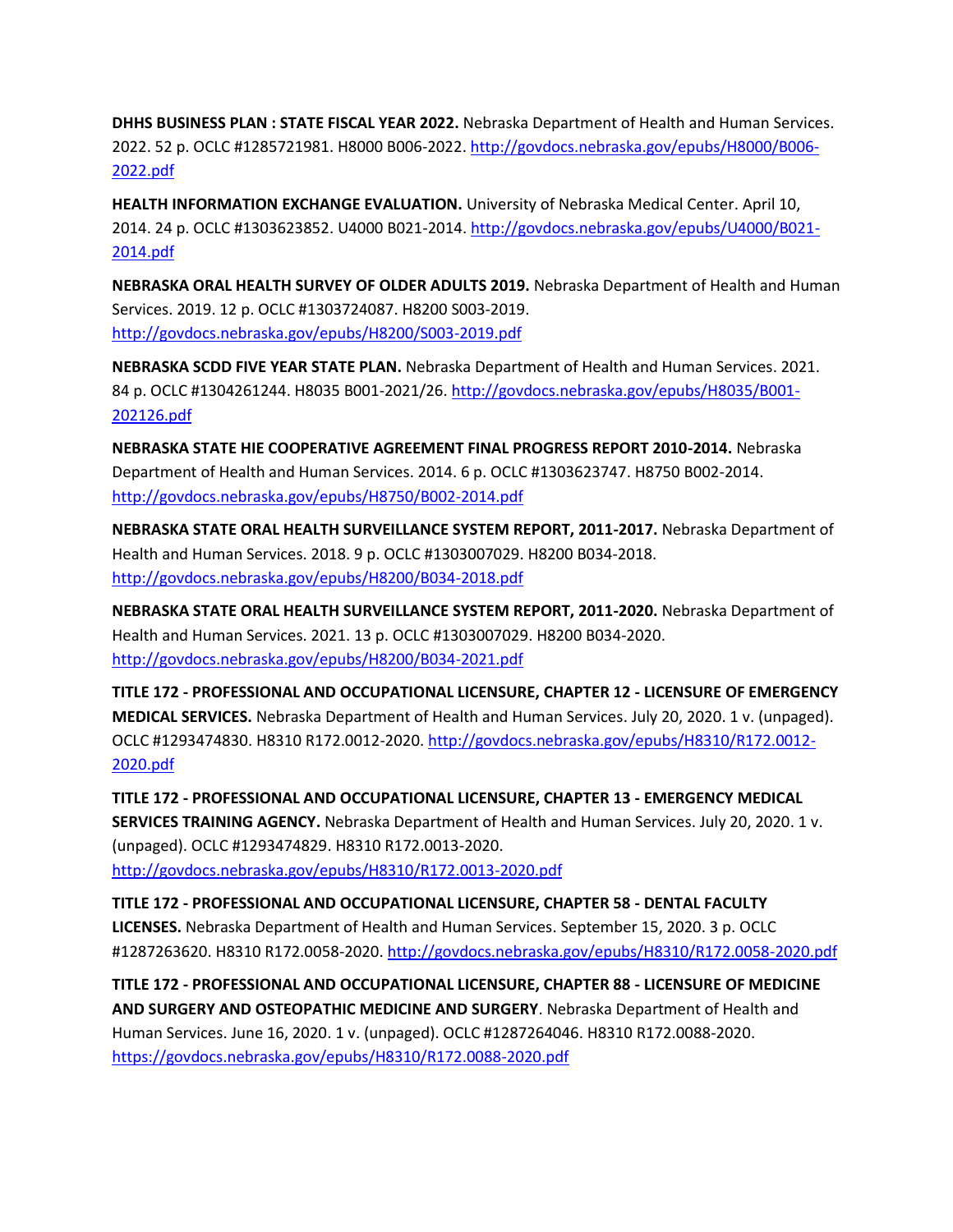**DHHS BUSINESS PLAN : STATE FISCAL YEAR 2022.** Nebraska Department of Health and Human Services. 2022. 52 p. OCLC #1285721981. H8000 B006-2022. [http://govdocs.nebraska.gov/epubs/H8000/B006-](http://govdocs.nebraska.gov/epubs/H8000/B006-2022.pdf) [2022.pdf](http://govdocs.nebraska.gov/epubs/H8000/B006-2022.pdf)

**HEALTH INFORMATION EXCHANGE EVALUATION.** University of Nebraska Medical Center. April 10, 2014. 24 p. OCLC #1303623852. U4000 B021-2014[. http://govdocs.nebraska.gov/epubs/U4000/B021-](http://govdocs.nebraska.gov/epubs/U4000/B021-2014.pdf) [2014.pdf](http://govdocs.nebraska.gov/epubs/U4000/B021-2014.pdf)

**NEBRASKA ORAL HEALTH SURVEY OF OLDER ADULTS 2019.** Nebraska Department of Health and Human Services. 2019. 12 p. OCLC #1303724087. H8200 S003-2019. <http://govdocs.nebraska.gov/epubs/H8200/S003-2019.pdf>

**NEBRASKA SCDD FIVE YEAR STATE PLAN.** Nebraska Department of Health and Human Services. 2021. 84 p. OCLC #1304261244. H8035 B001-2021/26. [http://govdocs.nebraska.gov/epubs/H8035/B001-](http://govdocs.nebraska.gov/epubs/H8035/B001-202126.pdf) [202126.pdf](http://govdocs.nebraska.gov/epubs/H8035/B001-202126.pdf)

**NEBRASKA STATE HIE COOPERATIVE AGREEMENT FINAL PROGRESS REPORT 2010-2014.** Nebraska Department of Health and Human Services. 2014. 6 p. OCLC #1303623747. H8750 B002-2014. <http://govdocs.nebraska.gov/epubs/H8750/B002-2014.pdf>

**NEBRASKA STATE ORAL HEALTH SURVEILLANCE SYSTEM REPORT, 2011-2017.** Nebraska Department of Health and Human Services. 2018. 9 p. OCLC #1303007029. H8200 B034-2018. <http://govdocs.nebraska.gov/epubs/H8200/B034-2018.pdf>

**NEBRASKA STATE ORAL HEALTH SURVEILLANCE SYSTEM REPORT, 2011-2020.** Nebraska Department of Health and Human Services. 2021. 13 p. OCLC #1303007029. H8200 B034-2020. <http://govdocs.nebraska.gov/epubs/H8200/B034-2021.pdf>

**TITLE 172 - PROFESSIONAL AND OCCUPATIONAL LICENSURE, CHAPTER 12 - LICENSURE OF EMERGENCY MEDICAL SERVICES.** Nebraska Department of Health and Human Services. July 20, 2020. 1 v. (unpaged). OCLC #1293474830. H8310 R172.0012-2020. [http://govdocs.nebraska.gov/epubs/H8310/R172.0012-](http://govdocs.nebraska.gov/epubs/H8310/R172.0012-2020.pdf) [2020.pdf](http://govdocs.nebraska.gov/epubs/H8310/R172.0012-2020.pdf)

**TITLE 172 - PROFESSIONAL AND OCCUPATIONAL LICENSURE, CHAPTER 13 - EMERGENCY MEDICAL SERVICES TRAINING AGENCY.** Nebraska Department of Health and Human Services. July 20, 2020. 1 v. (unpaged). OCLC #1293474829. H8310 R172.0013-2020. <http://govdocs.nebraska.gov/epubs/H8310/R172.0013-2020.pdf>

**TITLE 172 - PROFESSIONAL AND OCCUPATIONAL LICENSURE, CHAPTER 58 - DENTAL FACULTY LICENSES.** Nebraska Department of Health and Human Services. September 15, 2020. 3 p. OCLC #1287263620. H8310 R172.0058-2020.<http://govdocs.nebraska.gov/epubs/H8310/R172.0058-2020.pdf>

**TITLE 172 - PROFESSIONAL AND OCCUPATIONAL LICENSURE, CHAPTER 88 - LICENSURE OF MEDICINE AND SURGERY AND OSTEOPATHIC MEDICINE AND SURGERY**. Nebraska Department of Health and Human Services. June 16, 2020. 1 v. (unpaged). OCLC #1287264046. H8310 R172.0088-2020. <https://govdocs.nebraska.gov/epubs/H8310/R172.0088-2020.pdf>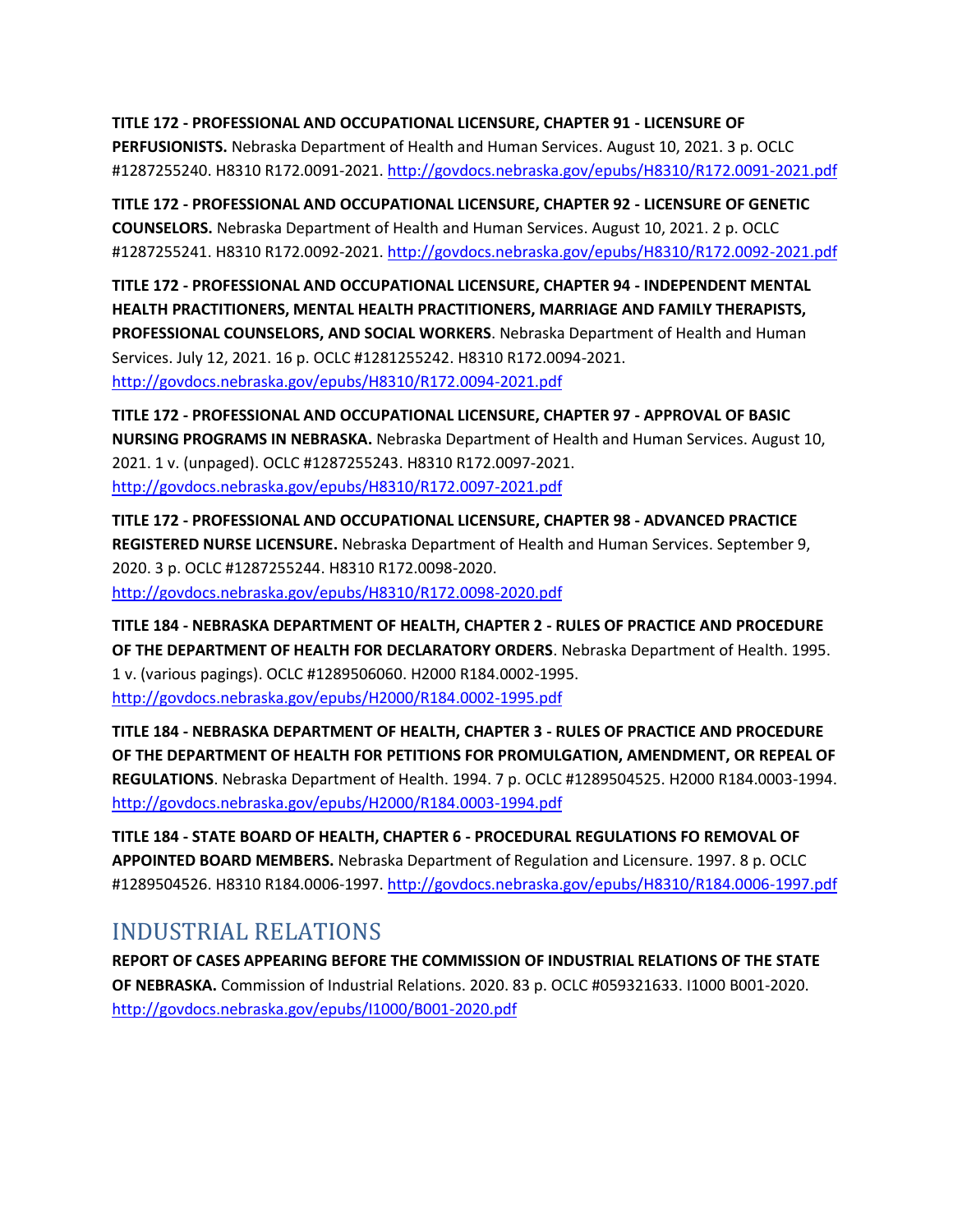**TITLE 172 - PROFESSIONAL AND OCCUPATIONAL LICENSURE, CHAPTER 91 - LICENSURE OF PERFUSIONISTS.** Nebraska Department of Health and Human Services. August 10, 2021. 3 p. OCLC #1287255240. H8310 R172.0091-2021.<http://govdocs.nebraska.gov/epubs/H8310/R172.0091-2021.pdf>

**TITLE 172 - PROFESSIONAL AND OCCUPATIONAL LICENSURE, CHAPTER 92 - LICENSURE OF GENETIC COUNSELORS.** Nebraska Department of Health and Human Services. August 10, 2021. 2 p. OCLC #1287255241. H8310 R172.0092-2021.<http://govdocs.nebraska.gov/epubs/H8310/R172.0092-2021.pdf>

**TITLE 172 - PROFESSIONAL AND OCCUPATIONAL LICENSURE, CHAPTER 94 - INDEPENDENT MENTAL HEALTH PRACTITIONERS, MENTAL HEALTH PRACTITIONERS, MARRIAGE AND FAMILY THERAPISTS, PROFESSIONAL COUNSELORS, AND SOCIAL WORKERS**. Nebraska Department of Health and Human Services. July 12, 2021. 16 p. OCLC #1281255242. H8310 R172.0094-2021. <http://govdocs.nebraska.gov/epubs/H8310/R172.0094-2021.pdf>

**TITLE 172 - PROFESSIONAL AND OCCUPATIONAL LICENSURE, CHAPTER 97 - APPROVAL OF BASIC NURSING PROGRAMS IN NEBRASKA.** Nebraska Department of Health and Human Services. August 10, 2021. 1 v. (unpaged). OCLC #1287255243. H8310 R172.0097-2021. <http://govdocs.nebraska.gov/epubs/H8310/R172.0097-2021.pdf>

**TITLE 172 - PROFESSIONAL AND OCCUPATIONAL LICENSURE, CHAPTER 98 - ADVANCED PRACTICE REGISTERED NURSE LICENSURE.** Nebraska Department of Health and Human Services. September 9, 2020. 3 p. OCLC #1287255244. H8310 R172.0098-2020. <http://govdocs.nebraska.gov/epubs/H8310/R172.0098-2020.pdf>

**TITLE 184 - NEBRASKA DEPARTMENT OF HEALTH, CHAPTER 2 - RULES OF PRACTICE AND PROCEDURE OF THE DEPARTMENT OF HEALTH FOR DECLARATORY ORDERS**. Nebraska Department of Health. 1995. 1 v. (various pagings). OCLC #1289506060. H2000 R184.0002-1995. <http://govdocs.nebraska.gov/epubs/H2000/R184.0002-1995.pdf>

**TITLE 184 - NEBRASKA DEPARTMENT OF HEALTH, CHAPTER 3 - RULES OF PRACTICE AND PROCEDURE OF THE DEPARTMENT OF HEALTH FOR PETITIONS FOR PROMULGATION, AMENDMENT, OR REPEAL OF REGULATIONS**. Nebraska Department of Health. 1994. 7 p. OCLC #1289504525. H2000 R184.0003-1994. <http://govdocs.nebraska.gov/epubs/H2000/R184.0003-1994.pdf>

**TITLE 184 - STATE BOARD OF HEALTH, CHAPTER 6 - PROCEDURAL REGULATIONS FO REMOVAL OF APPOINTED BOARD MEMBERS.** Nebraska Department of Regulation and Licensure. 1997. 8 p. OCLC #1289504526. H8310 R184.0006-1997.<http://govdocs.nebraska.gov/epubs/H8310/R184.0006-1997.pdf>

#### INDUSTRIAL RELATIONS

**REPORT OF CASES APPEARING BEFORE THE COMMISSION OF INDUSTRIAL RELATIONS OF THE STATE OF NEBRASKA.** Commission of Industrial Relations. 2020. 83 p. OCLC #059321633. I1000 B001-2020. <http://govdocs.nebraska.gov/epubs/I1000/B001-2020.pdf>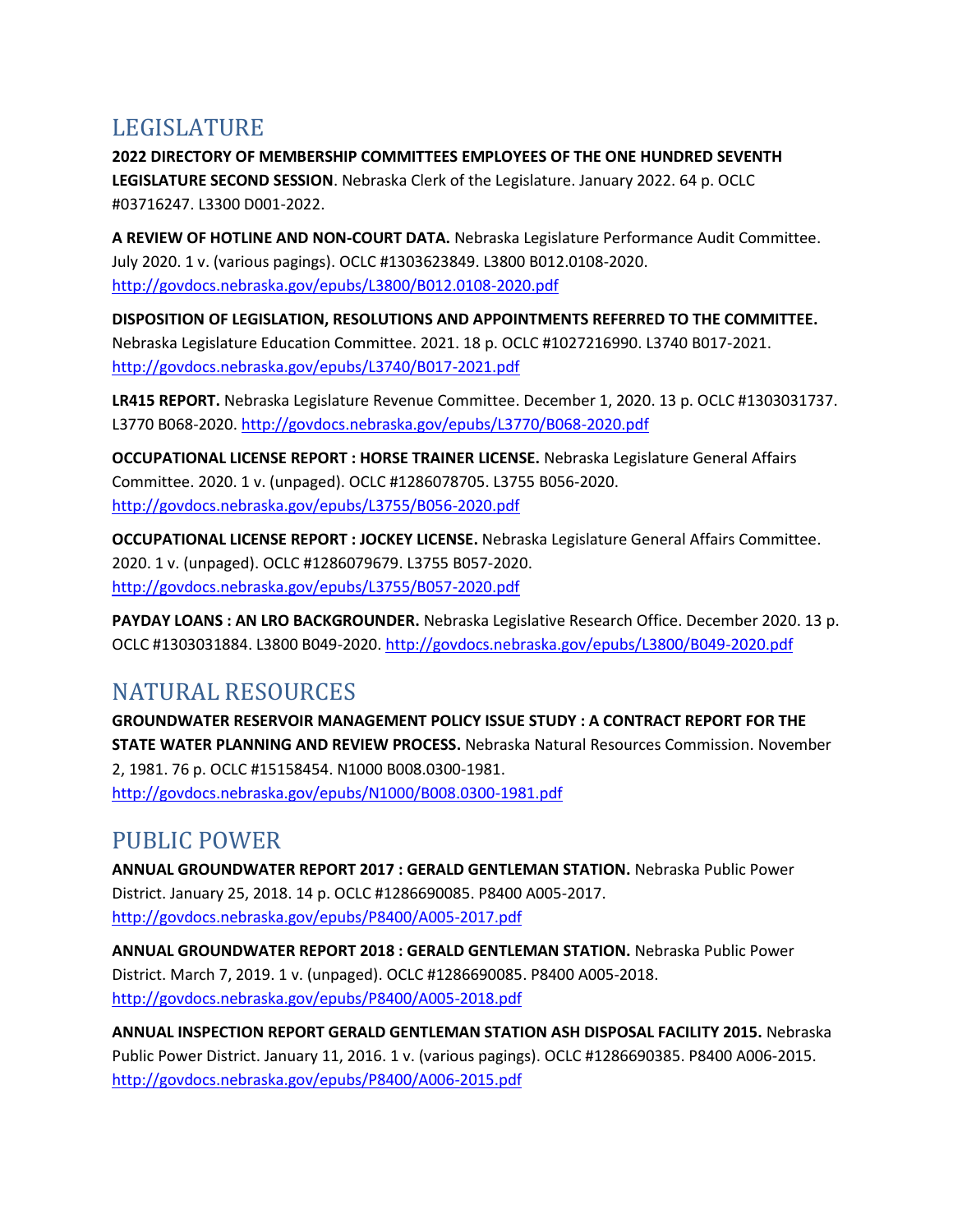### LEGISLATURE

**2022 DIRECTORY OF MEMBERSHIP COMMITTEES EMPLOYEES OF THE ONE HUNDRED SEVENTH LEGISLATURE SECOND SESSION**. Nebraska Clerk of the Legislature. January 2022. 64 p. OCLC #03716247. L3300 D001-2022.

**A REVIEW OF HOTLINE AND NON-COURT DATA.** Nebraska Legislature Performance Audit Committee. July 2020. 1 v. (various pagings). OCLC #1303623849. L3800 B012.0108-2020. <http://govdocs.nebraska.gov/epubs/L3800/B012.0108-2020.pdf>

**DISPOSITION OF LEGISLATION, RESOLUTIONS AND APPOINTMENTS REFERRED TO THE COMMITTEE.**  Nebraska Legislature Education Committee. 2021. 18 p. OCLC #1027216990. L3740 B017-2021. <http://govdocs.nebraska.gov/epubs/L3740/B017-2021.pdf>

**LR415 REPORT.** Nebraska Legislature Revenue Committee. December 1, 2020. 13 p. OCLC #1303031737. L3770 B068-2020.<http://govdocs.nebraska.gov/epubs/L3770/B068-2020.pdf>

**OCCUPATIONAL LICENSE REPORT : HORSE TRAINER LICENSE.** Nebraska Legislature General Affairs Committee. 2020. 1 v. (unpaged). OCLC #1286078705. L3755 B056-2020. <http://govdocs.nebraska.gov/epubs/L3755/B056-2020.pdf>

**OCCUPATIONAL LICENSE REPORT : JOCKEY LICENSE.** Nebraska Legislature General Affairs Committee. 2020. 1 v. (unpaged). OCLC #1286079679. L3755 B057-2020. <http://govdocs.nebraska.gov/epubs/L3755/B057-2020.pdf>

**PAYDAY LOANS : AN LRO BACKGROUNDER.** Nebraska Legislative Research Office. December 2020. 13 p. OCLC #1303031884. L3800 B049-2020[. http://govdocs.nebraska.gov/epubs/L3800/B049-2020.pdf](http://govdocs.nebraska.gov/epubs/L3800/B049-2020.pdf)

## NATURAL RESOURCES

**GROUNDWATER RESERVOIR MANAGEMENT POLICY ISSUE STUDY : A CONTRACT REPORT FOR THE STATE WATER PLANNING AND REVIEW PROCESS.** Nebraska Natural Resources Commission. November 2, 1981. 76 p. OCLC #15158454. N1000 B008.0300-1981. <http://govdocs.nebraska.gov/epubs/N1000/B008.0300-1981.pdf>

## PUBLIC POWER

**ANNUAL GROUNDWATER REPORT 2017 : GERALD GENTLEMAN STATION.** Nebraska Public Power District. January 25, 2018. 14 p. OCLC #1286690085. P8400 A005-2017. <http://govdocs.nebraska.gov/epubs/P8400/A005-2017.pdf>

**ANNUAL GROUNDWATER REPORT 2018 : GERALD GENTLEMAN STATION.** Nebraska Public Power District. March 7, 2019. 1 v. (unpaged). OCLC #1286690085. P8400 A005-2018. <http://govdocs.nebraska.gov/epubs/P8400/A005-2018.pdf>

**ANNUAL INSPECTION REPORT GERALD GENTLEMAN STATION ASH DISPOSAL FACILITY 2015.** Nebraska Public Power District. January 11, 2016. 1 v. (various pagings). OCLC #1286690385. P8400 A006-2015. <http://govdocs.nebraska.gov/epubs/P8400/A006-2015.pdf>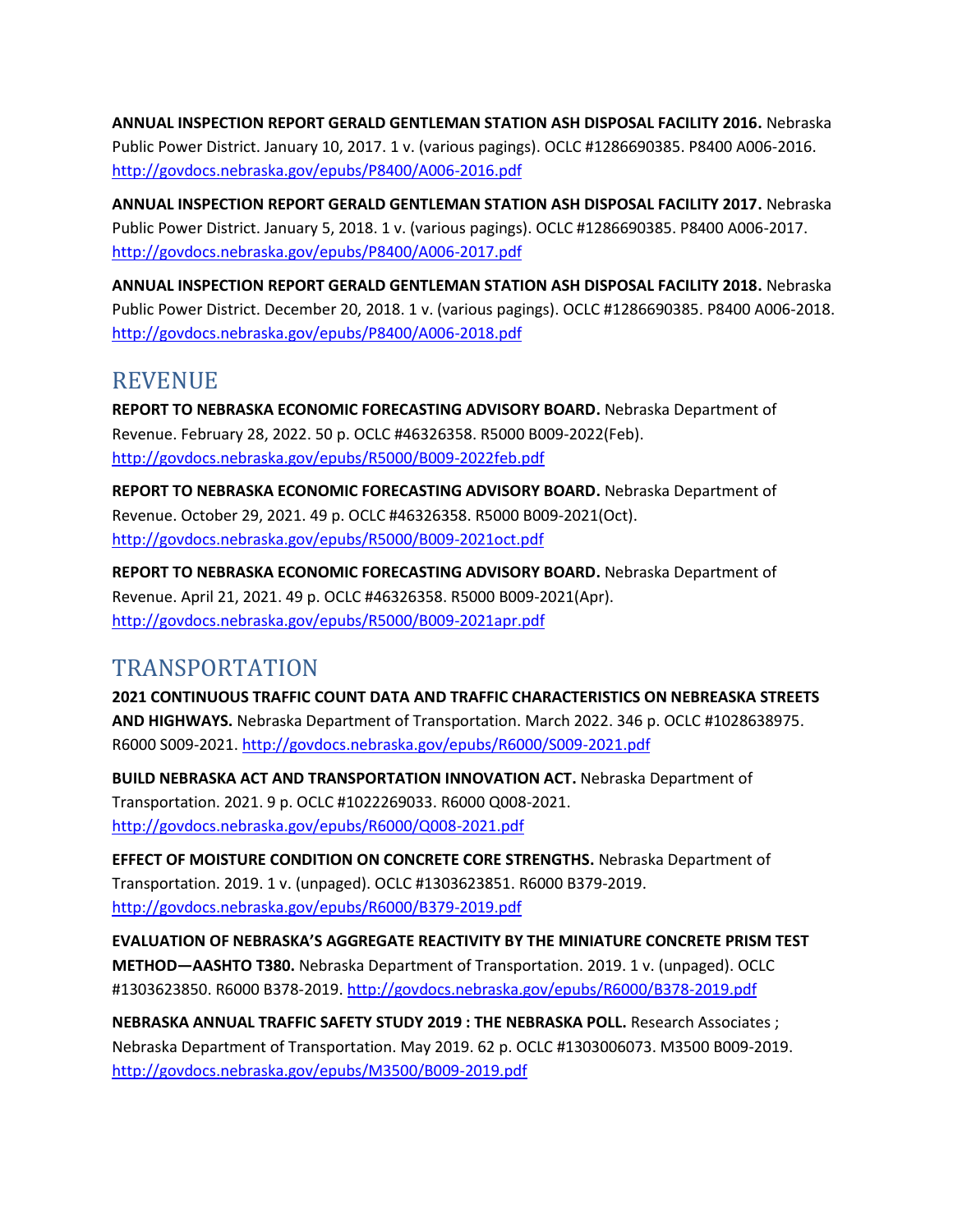**ANNUAL INSPECTION REPORT GERALD GENTLEMAN STATION ASH DISPOSAL FACILITY 2016.** Nebraska Public Power District. January 10, 2017. 1 v. (various pagings). OCLC #1286690385. P8400 A006-2016. <http://govdocs.nebraska.gov/epubs/P8400/A006-2016.pdf>

**ANNUAL INSPECTION REPORT GERALD GENTLEMAN STATION ASH DISPOSAL FACILITY 2017.** Nebraska Public Power District. January 5, 2018. 1 v. (various pagings). OCLC #1286690385. P8400 A006-2017. <http://govdocs.nebraska.gov/epubs/P8400/A006-2017.pdf>

**ANNUAL INSPECTION REPORT GERALD GENTLEMAN STATION ASH DISPOSAL FACILITY 2018.** Nebraska Public Power District. December 20, 2018. 1 v. (various pagings). OCLC #1286690385. P8400 A006-2018. <http://govdocs.nebraska.gov/epubs/P8400/A006-2018.pdf>

#### REVENUE

**REPORT TO NEBRASKA ECONOMIC FORECASTING ADVISORY BOARD.** Nebraska Department of Revenue. February 28, 2022. 50 p. OCLC #46326358. R5000 B009-2022(Feb). <http://govdocs.nebraska.gov/epubs/R5000/B009-2022feb.pdf>

**REPORT TO NEBRASKA ECONOMIC FORECASTING ADVISORY BOARD.** Nebraska Department of Revenue. October 29, 2021. 49 p. OCLC #46326358. R5000 B009-2021(Oct). <http://govdocs.nebraska.gov/epubs/R5000/B009-2021oct.pdf>

**REPORT TO NEBRASKA ECONOMIC FORECASTING ADVISORY BOARD.** Nebraska Department of Revenue. April 21, 2021. 49 p. OCLC #46326358. R5000 B009-2021(Apr). <http://govdocs.nebraska.gov/epubs/R5000/B009-2021apr.pdf>

#### TRANSPORTATION

**2021 CONTINUOUS TRAFFIC COUNT DATA AND TRAFFIC CHARACTERISTICS ON NEBREASKA STREETS AND HIGHWAYS.** Nebraska Department of Transportation. March 2022. 346 p. OCLC #1028638975. R6000 S009-2021[. http://govdocs.nebraska.gov/epubs/R6000/S009-2021.pdf](http://govdocs.nebraska.gov/epubs/R6000/S009-2021.pdf)

**BUILD NEBRASKA ACT AND TRANSPORTATION INNOVATION ACT.** Nebraska Department of Transportation. 2021. 9 p. OCLC #1022269033. R6000 Q008-2021. <http://govdocs.nebraska.gov/epubs/R6000/Q008-2021.pdf>

**EFFECT OF MOISTURE CONDITION ON CONCRETE CORE STRENGTHS.** Nebraska Department of Transportation. 2019. 1 v. (unpaged). OCLC #1303623851. R6000 B379-2019. <http://govdocs.nebraska.gov/epubs/R6000/B379-2019.pdf>

**EVALUATION OF NEBRASKA'S AGGREGATE REACTIVITY BY THE MINIATURE CONCRETE PRISM TEST METHOD—AASHTO T380.** Nebraska Department of Transportation. 2019. 1 v. (unpaged). OCLC #1303623850. R6000 B378-2019.<http://govdocs.nebraska.gov/epubs/R6000/B378-2019.pdf>

**NEBRASKA ANNUAL TRAFFIC SAFETY STUDY 2019 : THE NEBRASKA POLL.** Research Associates ; Nebraska Department of Transportation. May 2019. 62 p. OCLC #1303006073. M3500 B009-2019. <http://govdocs.nebraska.gov/epubs/M3500/B009-2019.pdf>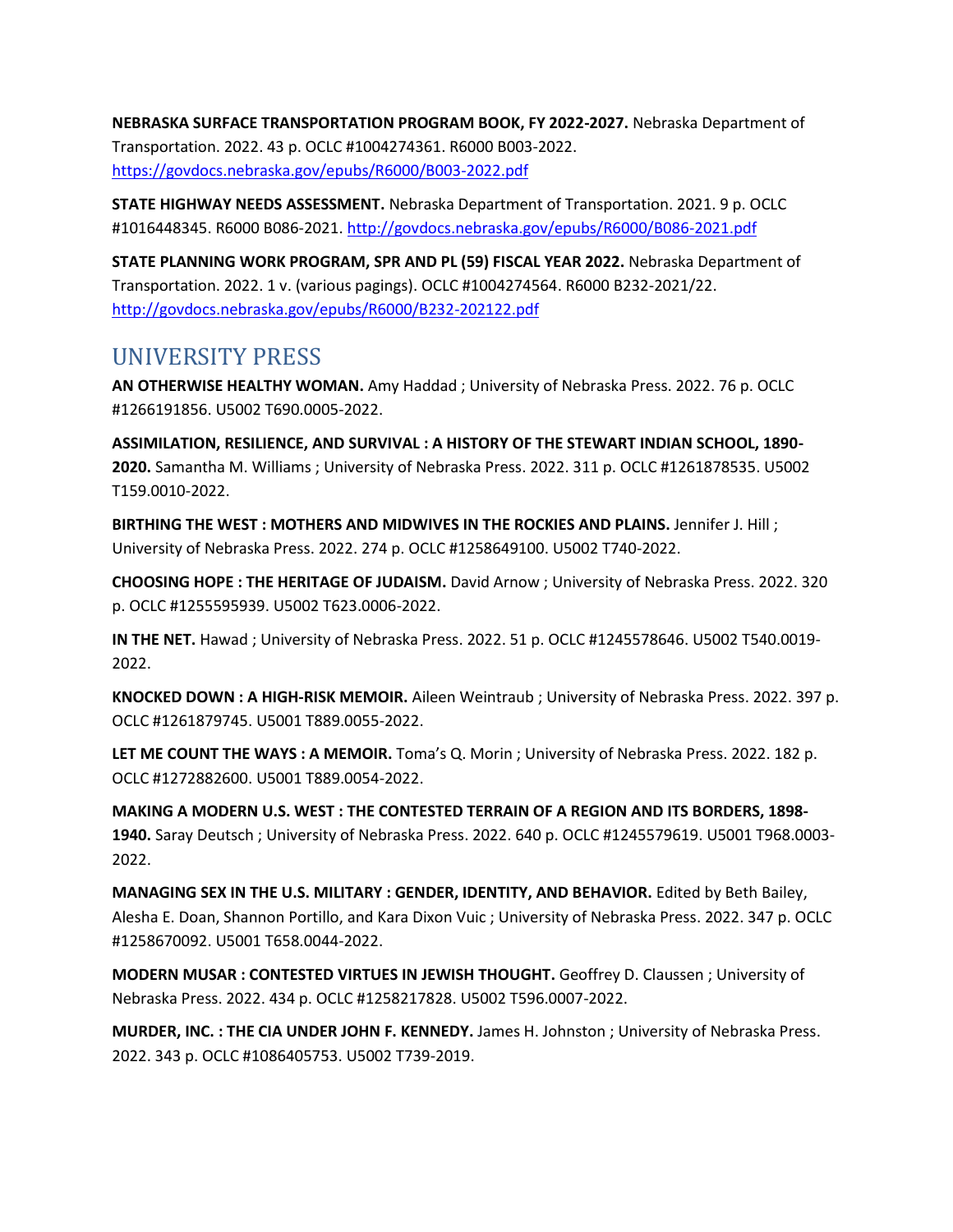**NEBRASKA SURFACE TRANSPORTATION PROGRAM BOOK, FY 2022-2027.** Nebraska Department of Transportation. 2022. 43 p. OCLC #1004274361. R6000 B003-2022. <https://govdocs.nebraska.gov/epubs/R6000/B003-2022.pdf>

**STATE HIGHWAY NEEDS ASSESSMENT.** Nebraska Department of Transportation. 2021. 9 p. OCLC #1016448345. R6000 B086-2021.<http://govdocs.nebraska.gov/epubs/R6000/B086-2021.pdf>

**STATE PLANNING WORK PROGRAM, SPR AND PL (59) FISCAL YEAR 2022.** Nebraska Department of Transportation. 2022. 1 v. (various pagings). OCLC #1004274564. R6000 B232-2021/22. <http://govdocs.nebraska.gov/epubs/R6000/B232-202122.pdf>

#### UNIVERSITY PRESS

**AN OTHERWISE HEALTHY WOMAN.** Amy Haddad ; University of Nebraska Press. 2022. 76 p. OCLC #1266191856. U5002 T690.0005-2022.

**ASSIMILATION, RESILIENCE, AND SURVIVAL : A HISTORY OF THE STEWART INDIAN SCHOOL, 1890- 2020.** Samantha M. Williams ; University of Nebraska Press. 2022. 311 p. OCLC #1261878535. U5002 T159.0010-2022.

**BIRTHING THE WEST : MOTHERS AND MIDWIVES IN THE ROCKIES AND PLAINS.** Jennifer J. Hill ; University of Nebraska Press. 2022. 274 p. OCLC #1258649100. U5002 T740-2022.

**CHOOSING HOPE : THE HERITAGE OF JUDAISM.** David Arnow ; University of Nebraska Press. 2022. 320 p. OCLC #1255595939. U5002 T623.0006-2022.

**IN THE NET.** Hawad ; University of Nebraska Press. 2022. 51 p. OCLC #1245578646. U5002 T540.0019- 2022.

**KNOCKED DOWN : A HIGH-RISK MEMOIR.** Aileen Weintraub ; University of Nebraska Press. 2022. 397 p. OCLC #1261879745. U5001 T889.0055-2022.

**LET ME COUNT THE WAYS : A MEMOIR.** Toma's Q. Morin ; University of Nebraska Press. 2022. 182 p. OCLC #1272882600. U5001 T889.0054-2022.

**MAKING A MODERN U.S. WEST : THE CONTESTED TERRAIN OF A REGION AND ITS BORDERS, 1898- 1940.** Saray Deutsch ; University of Nebraska Press. 2022. 640 p. OCLC #1245579619. U5001 T968.0003- 2022.

**MANAGING SEX IN THE U.S. MILITARY : GENDER, IDENTITY, AND BEHAVIOR.** Edited by Beth Bailey, Alesha E. Doan, Shannon Portillo, and Kara Dixon Vuic ; University of Nebraska Press. 2022. 347 p. OCLC #1258670092. U5001 T658.0044-2022.

**MODERN MUSAR : CONTESTED VIRTUES IN JEWISH THOUGHT.** Geoffrey D. Claussen ; University of Nebraska Press. 2022. 434 p. OCLC #1258217828. U5002 T596.0007-2022.

**MURDER, INC. : THE CIA UNDER JOHN F. KENNEDY.** James H. Johnston ; University of Nebraska Press. 2022. 343 p. OCLC #1086405753. U5002 T739-2019.